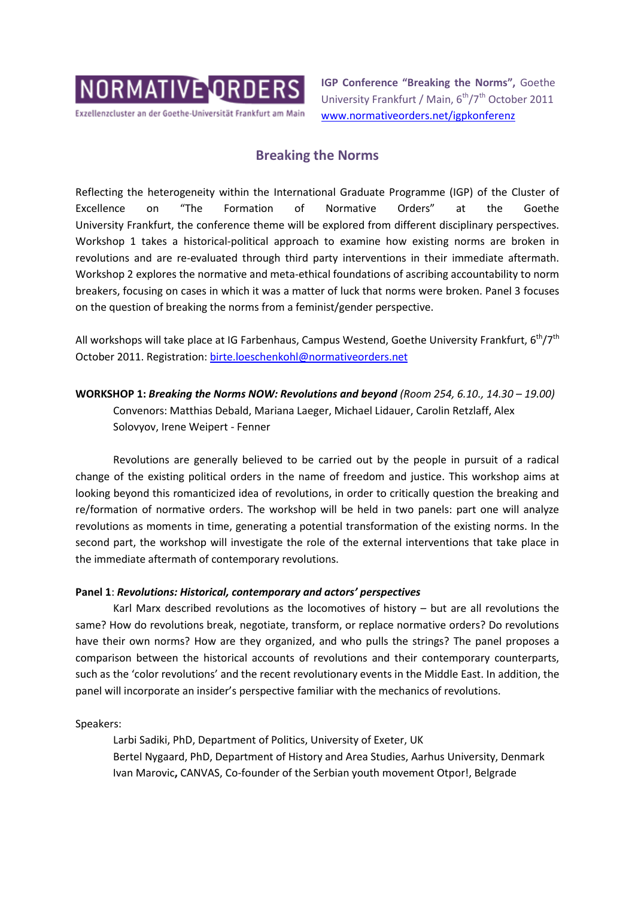

Exzellenzcluster an der Goethe-Universität Frankfurt am Main

**IGP Conference "Breaking the Norms",** Goethe University Frankfurt / Main, 6<sup>th</sup>/7<sup>th</sup> October 2011 [www.normativeorders.net/igpkonferenz](http://www.normativeorders.net/igpkonferenz) 

# **Breaking the Norms**

Reflecting the heterogeneity within the International Graduate Programme (IGP) of the Cluster of Excellence on "The Formation of Normative Orders" at the Goethe University Frankfurt, the conference theme will be explored from different disciplinary perspectives. Workshop 1 takes a historical-political approach to examine how existing norms are broken in revolutions and are re-evaluated through third party interventions in their immediate aftermath. Workshop 2 explores the normative and meta-ethical foundations of ascribing accountability to norm breakers, focusing on cases in which it was a matter of luck that norms were broken. Panel 3 focuses on the question of breaking the norms from a feminist/gender perspective.

All workshops will take place at IG Farbenhaus, Campus Westend, Goethe University Frankfurt,  $6<sup>th</sup>/7<sup>th</sup>$ October 2011. Registration: [birte.loeschenkohl@normativeorders.net](mailto:birte.loeschenkohl@normativeorders.net)

**WORKSHOP 1:** *Breaking the Norms NOW: Revolutions and beyond (Room 254, 6.10., 14.30 – 19.00)* Convenors: Matthias Debald, Mariana Laeger, Michael Lidauer, Carolin Retzlaff, Alex Solovyov, Irene Weipert - Fenner

Revolutions are generally believed to be carried out by the people in pursuit of a radical change of the existing political orders in the name of freedom and justice. This workshop aims at looking beyond this romanticized idea of revolutions, in order to critically question the breaking and re/formation of normative orders. The workshop will be held in two panels: part one will analyze revolutions as moments in time, generating a potential transformation of the existing norms. In the second part, the workshop will investigate the role of the external interventions that take place in the immediate aftermath of contemporary revolutions.

## **Panel 1**: *Revolutions: Historical, contemporary and actors' perspectives*

Karl Marx described revolutions as the locomotives of history – but are all revolutions the same? How do revolutions break, negotiate, transform, or replace normative orders? Do revolutions have their own norms? How are they organized, and who pulls the strings? The panel proposes a comparison between the historical accounts of revolutions and their contemporary counterparts, such as the 'color revolutions' and the recent revolutionary events in the Middle East. In addition, the panel will incorporate an insider's perspective familiar with the mechanics of revolutions.

Speakers:

Larbi Sadiki, PhD, Department of Politics, University of Exeter, UK Bertel Nygaard, PhD, Department of History and Area Studies, Aarhus University, Denmark Ivan Marovic**,** CANVAS, Co-founder of the Serbian youth movement Otpor!, Belgrade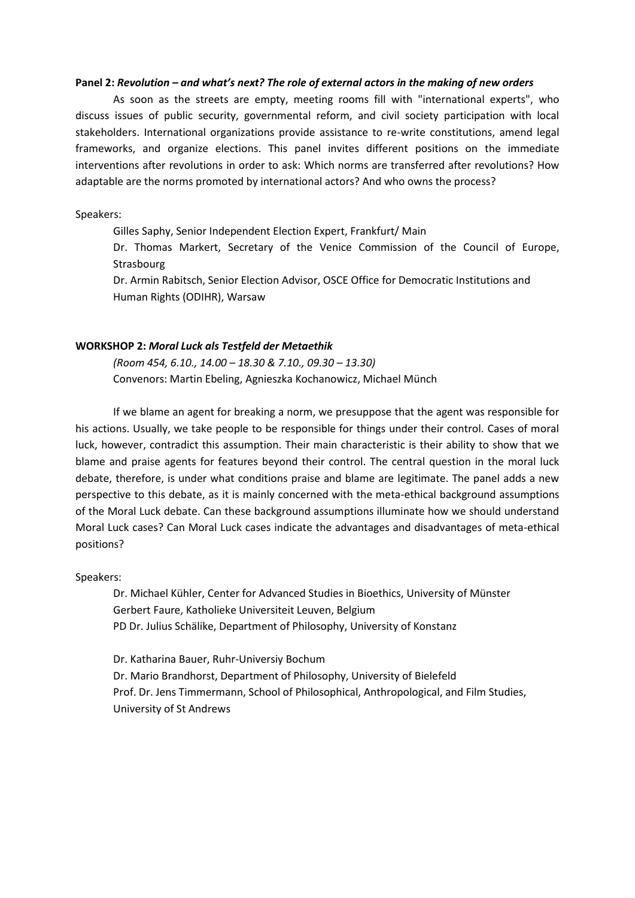#### **Panel 2:** *Revolution – and what's next? The role of external actors in the making of new orders*

As soon as the streets are empty, meeting rooms fill with "international experts", who discuss issues of public security, governmental reform, and civil society participation with local stakeholders. International organizations provide assistance to re-write constitutions, amend legal frameworks, and organize elections. This panel invites different positions on the immediate interventions after revolutions in order to ask: Which norms are transferred after revolutions? How adaptable are the norms promoted by international actors? And who owns the process?

### Speakers:

Gilles Saphy, Senior Independent Election Expert, Frankfurt/ Main

Dr. Thomas Markert, Secretary of the Venice Commission of the Council of Europe, Strasbourg

Dr. Armin Rabitsch, Senior Election Advisor, OSCE Office for Democratic Institutions and Human Rights (ODIHR), Warsaw

#### **WORKSHOP 2:** *Moral Luck als Testfeld der Metaethik*

*(Room 454, 6.10., 14.00 – 18.30 & 7.10., 09.30 – 13.30)* Convenors: Martin Ebeling, Agnieszka Kochanowicz, Michael Münch

If we blame an agent for breaking a norm, we presuppose that the agent was responsible for his actions. Usually, we take people to be responsible for things under their control. Cases of moral luck, however, contradict this assumption. Their main characteristic is their ability to show that we blame and praise agents for features beyond their control. The central question in the moral luck debate, therefore, is under what conditions praise and blame are legitimate. The panel adds a new perspective to this debate, as it is mainly concerned with the meta-ethical background assumptions of the Moral Luck debate. Can these background assumptions illuminate how we should understand Moral Luck cases? Can Moral Luck cases indicate the advantages and disadvantages of meta-ethical positions?

Speakers:

Dr. Michael Kühler, Center for Advanced Studies in Bioethics, University of Münster Gerbert Faure, Katholieke Universiteit Leuven, Belgium PD Dr. Julius Schälike, Department of Philosophy, University of Konstanz

Dr. Katharina Bauer, Ruhr-Universiy Bochum Dr. Mario Brandhorst, Department of Philosophy, University of Bielefeld Prof. Dr. Jens Timmermann, School of Philosophical, Anthropological, and Film Studies, University of St Andrews